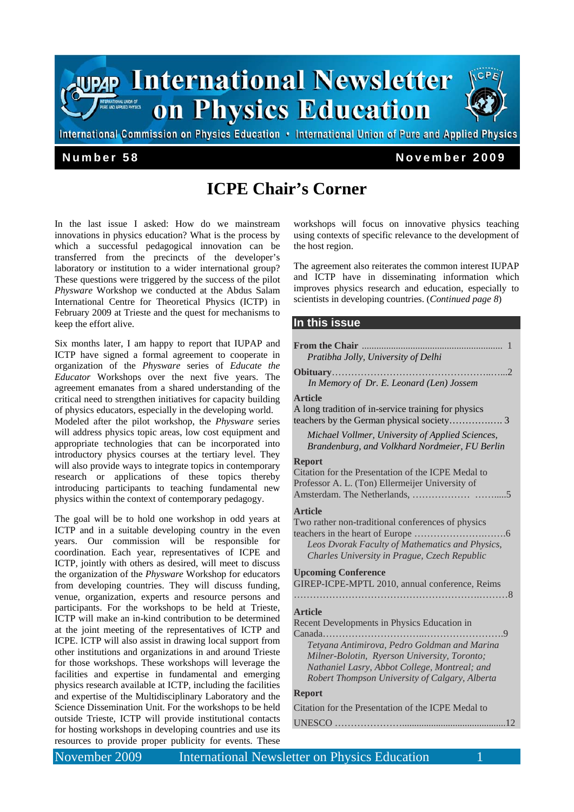

# **ICPE Chair's Corner**

In the last issue I asked: How do we mainstream innovations in physics education? What is the process by which a successful pedagogical innovation can be transferred from the precincts of the developer's laboratory or institution to a wider international group? These questions were triggered by the success of the pilot *Physware* Workshop we conducted at the Abdus Salam International Centre for Theoretical Physics (ICTP) in February 2009 at Trieste and the quest for mechanisms to keep the effort alive.

Six months later, I am happy to report that IUPAP and ICTP have signed a formal agreement to cooperate in organization of the *Physware* series of *Educate the Educator* Workshops over the next five years. The agreement emanates from a shared understanding of the critical need to strengthen initiatives for capacity building of physics educators, especially in the developing world. Modeled after the pilot workshop, the *Physware* series will address physics topic areas, low cost equipment and appropriate technologies that can be incorporated into introductory physics courses at the tertiary level. They will also provide ways to integrate topics in contemporary research or applications of these topics thereby introducing participants to teaching fundamental new physics within the context of contemporary pedagogy.

The goal will be to hold one workshop in odd years at ICTP and in a suitable developing country in the even years. Our commission will be responsible for coordination. Each year, representatives of ICPE and ICTP, jointly with others as desired, will meet to discuss the organization of the *Physware* Workshop for educators from developing countries. They will discuss funding, venue, organization, experts and resource persons and participants. For the workshops to be held at Trieste, ICTP will make an in-kind contribution to be determined at the joint meeting of the representatives of ICTP and ICPE. ICTP will also assist in drawing local support from other institutions and organizations in and around Trieste for those workshops. These workshops will leverage the facilities and expertise in fundamental and emerging physics research available at ICTP, including the facilities and expertise of the Multidisciplinary Laboratory and the Science Dissemination Unit. For the workshops to be held outside Trieste, ICTP will provide institutional contacts for hosting workshops in developing countries and use its resources to provide proper publicity for events. These

workshops will focus on innovative physics teaching using contexts of specific relevance to the development of the host region.

The agreement also reiterates the common interest IUPAP and ICTP have in disseminating information which improves physics research and education, especially to scientists in developing countries. (*Continued page 8*)

#### **In this issue**

| Pratibha Jolly, University of Delhi                                                                                                                                                                                                                                                 |
|-------------------------------------------------------------------------------------------------------------------------------------------------------------------------------------------------------------------------------------------------------------------------------------|
| . 2<br>Obituary<br>In Memory of Dr. E. Leonard (Len) Jossem                                                                                                                                                                                                                         |
| <b>Article</b><br>A long tradition of in-service training for physics                                                                                                                                                                                                               |
| Michael Vollmer, University of Applied Sciences,<br>Brandenburg, and Volkhard Nordmeier, FU Berlin                                                                                                                                                                                  |
| <b>Report</b><br>Citation for the Presentation of the ICPE Medal to<br>Professor A. L. (Ton) Ellermeijer University of                                                                                                                                                              |
| <b>Article</b><br>Two rather non-traditional conferences of physics<br>Leos Dvorak Faculty of Mathematics and Physics,<br>Charles University in Prague, Czech Republic                                                                                                              |
| <b>Upcoming Conference</b><br>GIREP-ICPE-MPTL 2010, annual conference, Reims                                                                                                                                                                                                        |
| <b>Article</b><br>Recent Developments in Physics Education in<br>$Canada$<br>. 9<br>Tetyana Antimirova, Pedro Goldman and Marina<br>Milner-Bolotin, Ryerson University, Toronto;<br>Nathaniel Lasry, Abbot College, Montreal; and<br>Robert Thompson University of Calgary, Alberta |
| <b>Report</b>                                                                                                                                                                                                                                                                       |
| Citation for the Presentation of the ICPE Medal to                                                                                                                                                                                                                                  |
|                                                                                                                                                                                                                                                                                     |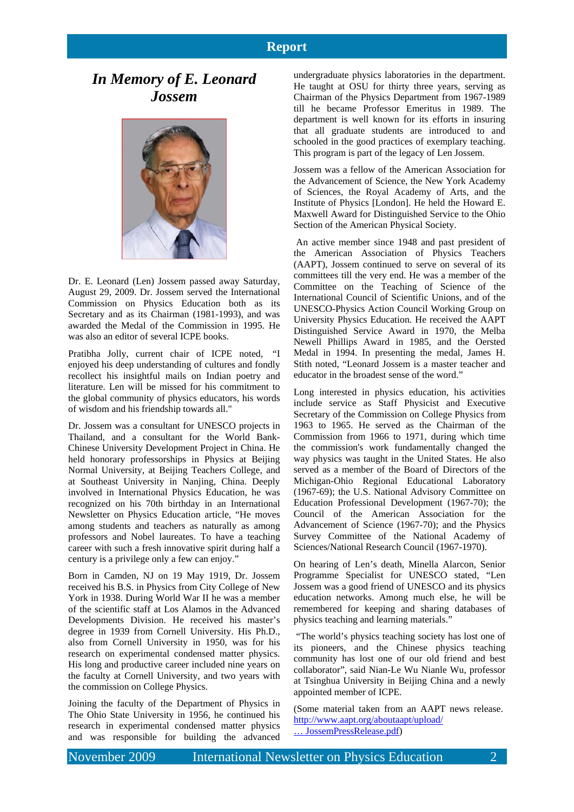## **Report**

# *In Memory of E. Leonard Jossem*



Dr. E. Leonard (Len) Jossem passed away Saturday, August 29, 2009. Dr. Jossem served the International Commission on Physics Education both as its Secretary and as its Chairman (1981-1993), and was awarded the Medal of the Commission in 1995. He was also an editor of several ICPE books.

Pratibha Jolly, current chair of ICPE noted, "I enjoyed his deep understanding of cultures and fondly recollect his insightful mails on Indian poetry and literature. Len will be missed for his commitment to the global community of physics educators, his words of wisdom and his friendship towards all."

Dr. Jossem was a consultant for UNESCO projects in Thailand, and a consultant for the World Bank-Chinese University Development Project in China. He held honorary professorships in Physics at Beijing Normal University, at Beijing Teachers College, and at Southeast University in Nanjing, China. Deeply involved in International Physics Education, he was recognized on his 70th birthday in an International Newsletter on Physics Education article, "He moves among students and teachers as naturally as among professors and Nobel laureates. To have a teaching career with such a fresh innovative spirit during half a century is a privilege only a few can enjoy."

Born in Camden, NJ on 19 May 1919, Dr. Jossem received his B.S. in Physics from City College of New York in 1938. During World War II he was a member of the scientific staff at Los Alamos in the Advanced Developments Division. He received his master's degree in 1939 from Cornell University. His Ph.D., also from Cornell University in 1950, was for his research on experimental condensed matter physics. His long and productive career included nine years on the faculty at Cornell University, and two years with the commission on College Physics.

Joining the faculty of the Department of Physics in The Ohio State University in 1956, he continued his research in experimental condensed matter physics and was responsible for building the advanced

undergraduate physics laboratories in the department. He taught at OSU for thirty three years, serving as Chairman of the Physics Department from 1967-1989 till he became Professor Emeritus in 1989. The department is well known for its efforts in insuring that all graduate students are introduced to and schooled in the good practices of exemplary teaching. This program is part of the legacy of Len Jossem.

Jossem was a fellow of the American Association for the Advancement of Science, the New York Academy of Sciences, the Royal Academy of Arts, and the Institute of Physics [London]. He held the Howard E. Maxwell Award for Distinguished Service to the Ohio Section of the American Physical Society.

 An active member since 1948 and past president of the American Association of Physics Teachers (AAPT), Jossem continued to serve on several of its committees till the very end. He was a member of the Committee on the Teaching of Science of the International Council of Scientific Unions, and of the UNESCO-Physics Action Council Working Group on University Physics Education. He received the AAPT Distinguished Service Award in 1970, the Melba Newell Phillips Award in 1985, and the Oersted Medal in 1994. In presenting the medal, James H. Stith noted, "Leonard Jossem is a master teacher and educator in the broadest sense of the word."

Long interested in physics education, his activities include service as Staff Physicist and Executive Secretary of the Commission on College Physics from 1963 to 1965. He served as the Chairman of the Commission from 1966 to 1971, during which time the commission's work fundamentally changed the way physics was taught in the United States. He also served as a member of the Board of Directors of the Michigan-Ohio Regional Educational Laboratory (1967-69); the U.S. National Advisory Committee on Education Professional Development (1967-70); the Council of the American Association for the Advancement of Science (1967-70); and the Physics Survey Committee of the National Academy of Sciences/National Research Council (1967-1970).

On hearing of Len's death, Minella Alarcon, Senior Programme Specialist for UNESCO stated, "Len Jossem was a good friend of UNESCO and its physics education networks. Among much else, he will be remembered for keeping and sharing databases of physics teaching and learning materials."

 "The world's physics teaching society has lost one of its pioneers, and the Chinese physics teaching community has lost one of our old friend and best collaborator", said Nian-Le Wu Nianle Wu, professor at Tsinghua University in Beijing China and a newly appointed member of ICPE.

(Some material taken from an AAPT news release. http://www.aapt.org/aboutaapt/upload/ ... JossemPressRelease.pdf)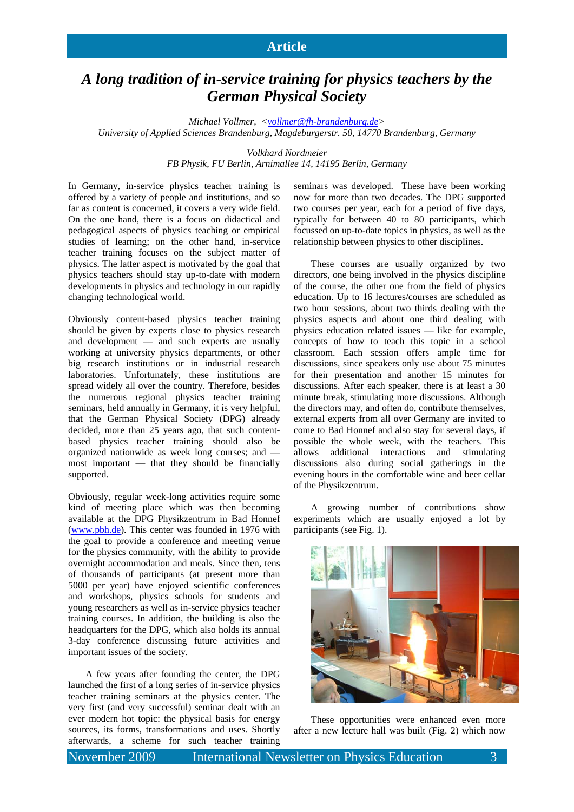### **Article**

# *A long tradition of in-service training for physics teachers by the German Physical Society*

*Michael Vollmer, <vollmer@fh-brandenburg.de> University of Applied Sciences Brandenburg, Magdeburgerstr. 50, 14770 Brandenburg, Germany* 

*Volkhard Nordmeier* 

*FB Physik, FU Berlin, Arnimallee 14, 14195 Berlin, Germany* 

In Germany, in-service physics teacher training is offered by a variety of people and institutions, and so far as content is concerned, it covers a very wide field. On the one hand, there is a focus on didactical and pedagogical aspects of physics teaching or empirical studies of learning; on the other hand, in-service teacher training focuses on the subject matter of physics. The latter aspect is motivated by the goal that physics teachers should stay up-to-date with modern developments in physics and technology in our rapidly changing technological world.

Obviously content-based physics teacher training should be given by experts close to physics research and development — and such experts are usually working at university physics departments, or other big research institutions or in industrial research laboratories. Unfortunately, these institutions are spread widely all over the country. Therefore, besides the numerous regional physics teacher training seminars, held annually in Germany, it is very helpful, that the German Physical Society (DPG) already decided, more than 25 years ago, that such contentbased physics teacher training should also be organized nationwide as week long courses; and most important — that they should be financially supported.

Obviously, regular week-long activities require some kind of meeting place which was then becoming available at the DPG Physikzentrum in Bad Honnef (www.pbh.de). This center was founded in 1976 with the goal to provide a conference and meeting venue for the physics community, with the ability to provide overnight accommodation and meals. Since then, tens of thousands of participants (at present more than 5000 per year) have enjoyed scientific conferences and workshops, physics schools for students and young researchers as well as in-service physics teacher training courses. In addition, the building is also the headquarters for the DPG, which also holds its annual 3-day conference discussing future activities and important issues of the society.

A few years after founding the center, the DPG launched the first of a long series of in-service physics teacher training seminars at the physics center. The very first (and very successful) seminar dealt with an ever modern hot topic: the physical basis for energy sources, its forms, transformations and uses. Shortly afterwards, a scheme for such teacher training

seminars was developed. These have been working now for more than two decades. The DPG supported two courses per year, each for a period of five days, typically for between 40 to 80 participants, which focussed on up-to-date topics in physics, as well as the relationship between physics to other disciplines.

These courses are usually organized by two directors, one being involved in the physics discipline of the course, the other one from the field of physics education. Up to 16 lectures/courses are scheduled as two hour sessions, about two thirds dealing with the physics aspects and about one third dealing with physics education related issues — like for example, concepts of how to teach this topic in a school classroom. Each session offers ample time for discussions, since speakers only use about 75 minutes for their presentation and another 15 minutes for discussions. After each speaker, there is at least a 30 minute break, stimulating more discussions. Although the directors may, and often do, contribute themselves, external experts from all over Germany are invited to come to Bad Honnef and also stay for several days, if possible the whole week, with the teachers. This allows additional interactions and stimulating discussions also during social gatherings in the evening hours in the comfortable wine and beer cellar of the Physikzentrum.

A growing number of contributions show experiments which are usually enjoyed a lot by participants (see Fig. 1).



These opportunities were enhanced even more after a new lecture hall was built (Fig. 2) which now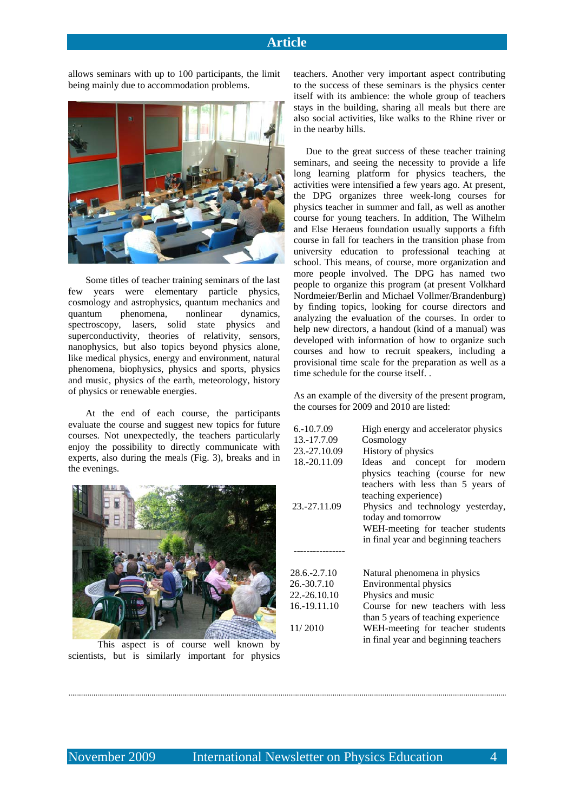allows seminars with up to 100 participants, the limit being mainly due to accommodation problems.



Some titles of teacher training seminars of the last few years were elementary particle physics, cosmology and astrophysics, quantum mechanics and quantum phenomena, nonlinear dynamics, spectroscopy, lasers, solid state physics and superconductivity, theories of relativity, sensors, nanophysics, but also topics beyond physics alone, like medical physics, energy and environment, natural phenomena, biophysics, physics and sports, physics and music, physics of the earth, meteorology, history of physics or renewable energies.

At the end of each course, the participants evaluate the course and suggest new topics for future courses. Not unexpectedly, the teachers particularly enjoy the possibility to directly communicate with experts, also during the meals (Fig. 3), breaks and in the evenings.



 This aspect is of course well known by scientists, but is similarly important for physics

teachers. Another very important aspect contributing to the success of these seminars is the physics center itself with its ambience: the whole group of teachers stays in the building, sharing all meals but there are also social activities, like walks to the Rhine river or in the nearby hills.

 Due to the great success of these teacher training seminars, and seeing the necessity to provide a life long learning platform for physics teachers, the activities were intensified a few years ago. At present, the DPG organizes three week-long courses for physics teacher in summer and fall, as well as another course for young teachers. In addition, The Wilhelm and Else Heraeus foundation usually supports a fifth course in fall for teachers in the transition phase from university education to professional teaching at school. This means, of course, more organization and more people involved. The DPG has named two people to organize this program (at present Volkhard Nordmeier/Berlin and Michael Vollmer/Brandenburg) by finding topics, looking for course directors and analyzing the evaluation of the courses. In order to help new directors, a handout (kind of a manual) was developed with information of how to organize such courses and how to recruit speakers, including a provisional time scale for the preparation as well as a time schedule for the course itself. .

As an example of the diversity of the present program, the courses for 2009 and 2010 are listed:

| $6. -10.7.09$   | High energy and accelerator physics                                                                                                                                                                                                   |  |  |  |
|-----------------|---------------------------------------------------------------------------------------------------------------------------------------------------------------------------------------------------------------------------------------|--|--|--|
| 13.-17.7.09     | Cosmology                                                                                                                                                                                                                             |  |  |  |
| 23.-27.10.09    | History of physics                                                                                                                                                                                                                    |  |  |  |
| 18.-20.11.09    | Ideas and concept for modern                                                                                                                                                                                                          |  |  |  |
| 23.-27.11.09    | physics teaching (course for new<br>teachers with less than 5 years of<br>teaching experience)<br>Physics and technology yesterday,<br>today and tomorrow<br>WEH-meeting for teacher students<br>in final year and beginning teachers |  |  |  |
|                 |                                                                                                                                                                                                                                       |  |  |  |
| $28.6 - 2.7.10$ | Natural phenomena in physics                                                                                                                                                                                                          |  |  |  |
| 26.-30.7.10     | Environmental physics                                                                                                                                                                                                                 |  |  |  |
| 22.-26.10.10    | Physics and music                                                                                                                                                                                                                     |  |  |  |
| 16.-19.11.10    | Course for new teachers with less                                                                                                                                                                                                     |  |  |  |
| 11/2010         | than 5 years of teaching experience<br>WEH-meeting for teacher students<br>in final year and beginning teachers                                                                                                                       |  |  |  |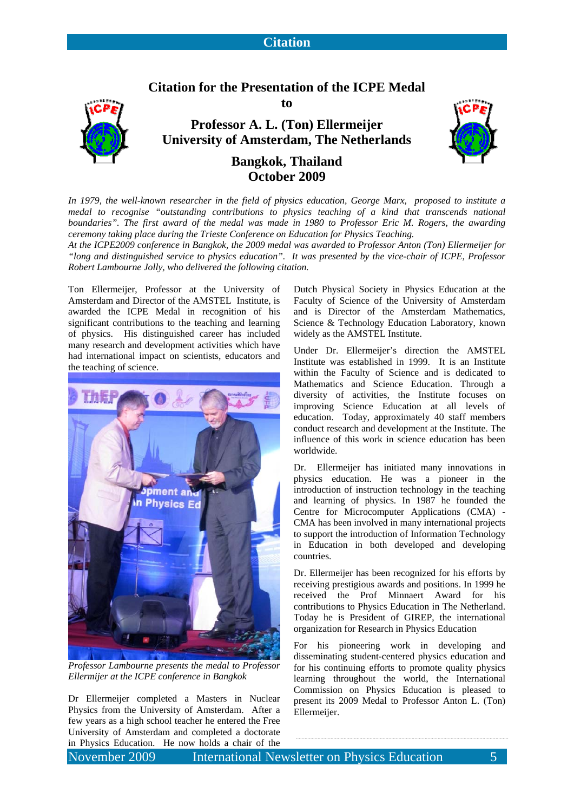## **Citation**





**to** 

**Professor A. L. (Ton) Ellermeijer University of Amsterdam, The Netherlands** 



# **Bangkok, Thailand October 2009**

*In 1979, the well-known researcher in the field of physics education, George Marx, proposed to institute a medal to recognise "outstanding contributions to physics teaching of a kind that transcends national boundaries". The first award of the medal was made in 1980 to Professor Eric M. Rogers, the awarding ceremony taking place during the Trieste Conference on Education for Physics Teaching.* 

*At the ICPE2009 conference in Bangkok, the 2009 medal was awarded to Professor Anton (Ton) Ellermeijer for "long and distinguished service to physics education". It was presented by the vice-chair of ICPE, Professor Robert Lambourne Jolly, who delivered the following citation.* 

Ton Ellermeijer, Professor at the University of Amsterdam and Director of the AMSTEL Institute, is awarded the ICPE Medal in recognition of his significant contributions to the teaching and learning of physics. His distinguished career has included many research and development activities which have had international impact on scientists, educators and the teaching of science.



*Professor Lambourne presents the medal to Professor Ellermijer at the ICPE conference in Bangkok* 

Dr Ellermeijer completed a Masters in Nuclear Physics from the University of Amsterdam. After a few years as a high school teacher he entered the Free University of Amsterdam and completed a doctorate in Physics Education. He now holds a chair of the Dutch Physical Society in Physics Education at the Faculty of Science of the University of Amsterdam and is Director of the Amsterdam Mathematics, Science & Technology Education Laboratory, known widely as the AMSTEL Institute.

Under Dr. Ellermeijer's direction the AMSTEL Institute was established in 1999. It is an Institute within the Faculty of Science and is dedicated to Mathematics and Science Education. Through a diversity of activities, the Institute focuses on improving Science Education at all levels of education. Today, approximately 40 staff members conduct research and development at the Institute. The influence of this work in science education has been worldwide.

Dr. Ellermeijer has initiated many innovations in physics education. He was a pioneer in the introduction of instruction technology in the teaching and learning of physics. In 1987 he founded the Centre for Microcomputer Applications (CMA) - CMA has been involved in many international projects to support the introduction of Information Technology in Education in both developed and developing countries.

Dr. Ellermeijer has been recognized for his efforts by receiving prestigious awards and positions. In 1999 he received the Prof Minnaert Award for his contributions to Physics Education in The Netherland. Today he is President of GIREP, the international organization for Research in Physics Education

For his pioneering work in developing and disseminating student-centered physics education and for his continuing efforts to promote quality physics learning throughout the world, the International Commission on Physics Education is pleased to present its 2009 Medal to Professor Anton L. (Ton) Ellermeijer.

November 2009 International Newsletter on Physics Education 5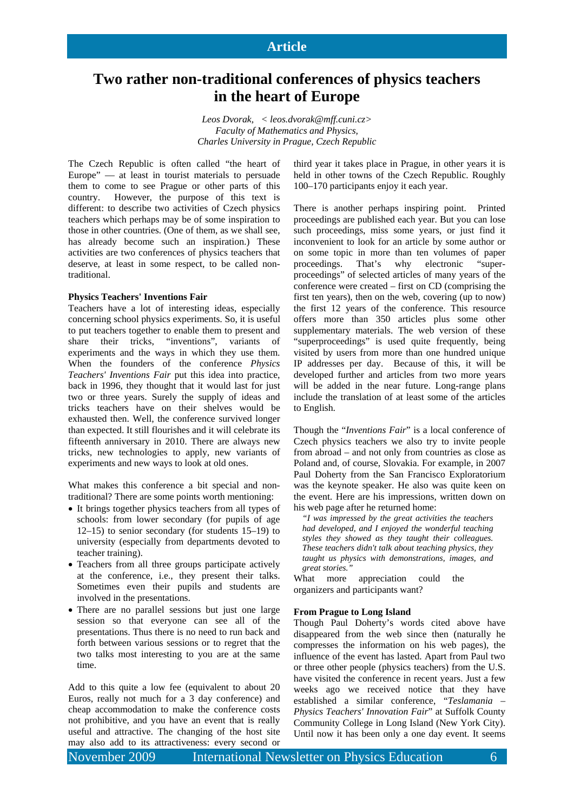# **Two rather non-traditional conferences of physics teachers in the heart of Europe**

*Leos Dvorak, < leos.dvorak@mff.cuni.cz> Faculty of Mathematics and Physics, Charles University in Prague, Czech Republic* 

The Czech Republic is often called "the heart of Europe" — at least in tourist materials to persuade them to come to see Prague or other parts of this country. However, the purpose of this text is different: to describe two activities of Czech physics teachers which perhaps may be of some inspiration to those in other countries. (One of them, as we shall see, has already become such an inspiration.) These activities are two conferences of physics teachers that deserve, at least in some respect, to be called nontraditional.

#### **Physics Teachers' Inventions Fair**

Teachers have a lot of interesting ideas, especially concerning school physics experiments. So, it is useful to put teachers together to enable them to present and share their tricks, "inventions", variants of experiments and the ways in which they use them. When the founders of the conference *Physics Teachers' Inventions Fair* put this idea into practice, back in 1996, they thought that it would last for just two or three years. Surely the supply of ideas and tricks teachers have on their shelves would be exhausted then. Well, the conference survived longer than expected. It still flourishes and it will celebrate its fifteenth anniversary in 2010. There are always new tricks, new technologies to apply, new variants of experiments and new ways to look at old ones.

What makes this conference a bit special and nontraditional? There are some points worth mentioning:

- It brings together physics teachers from all types of schools: from lower secondary (for pupils of age 12–15) to senior secondary (for students 15–19) to university (especially from departments devoted to teacher training).
- Teachers from all three groups participate actively at the conference, i.e., they present their talks. Sometimes even their pupils and students are involved in the presentations.
- There are no parallel sessions but just one large session so that everyone can see all of the presentations. Thus there is no need to run back and forth between various sessions or to regret that the two talks most interesting to you are at the same time.

Add to this quite a low fee (equivalent to about 20 Euros, really not much for a 3 day conference) and cheap accommodation to make the conference costs not prohibitive, and you have an event that is really useful and attractive. The changing of the host site may also add to its attractiveness: every second or

third year it takes place in Prague, in other years it is held in other towns of the Czech Republic. Roughly 100–170 participants enjoy it each year.

There is another perhaps inspiring point. Printed proceedings are published each year. But you can lose such proceedings, miss some years, or just find it inconvenient to look for an article by some author or on some topic in more than ten volumes of paper proceedings. That's why electronic "superproceedings" of selected articles of many years of the conference were created – first on CD (comprising the first ten years), then on the web, covering (up to now) the first 12 years of the conference. This resource offers more than 350 articles plus some other supplementary materials. The web version of these "superproceedings" is used quite frequently, being visited by users from more than one hundred unique IP addresses per day. Because of this, it will be developed further and articles from two more years will be added in the near future. Long-range plans include the translation of at least some of the articles to English.

Though the "*Inventions Fair*" is a local conference of Czech physics teachers we also try to invite people from abroad – and not only from countries as close as Poland and, of course, Slovakia. For example, in 2007 Paul Doherty from the San Francisco Exploratorium was the keynote speaker. He also was quite keen on the event. Here are his impressions, written down on his web page after he returned home:

*"I was impressed by the great activities the teachers had developed, and I enjoyed the wonderful teaching styles they showed as they taught their colleagues. These teachers didn't talk about teaching physics, they taught us physics with demonstrations, images, and great stories."* 

What more appreciation could the organizers and participants want?

#### **From Prague to Long Island**

Though Paul Doherty's words cited above have disappeared from the web since then (naturally he compresses the information on his web pages), the influence of the event has lasted. Apart from Paul two or three other people (physics teachers) from the U.S. have visited the conference in recent years. Just a few weeks ago we received notice that they have established a similar conference, "*Teslamania – Physics Teachers' Innovation Fair*" at Suffolk County Community College in Long Island (New York City). Until now it has been only a one day event. It seems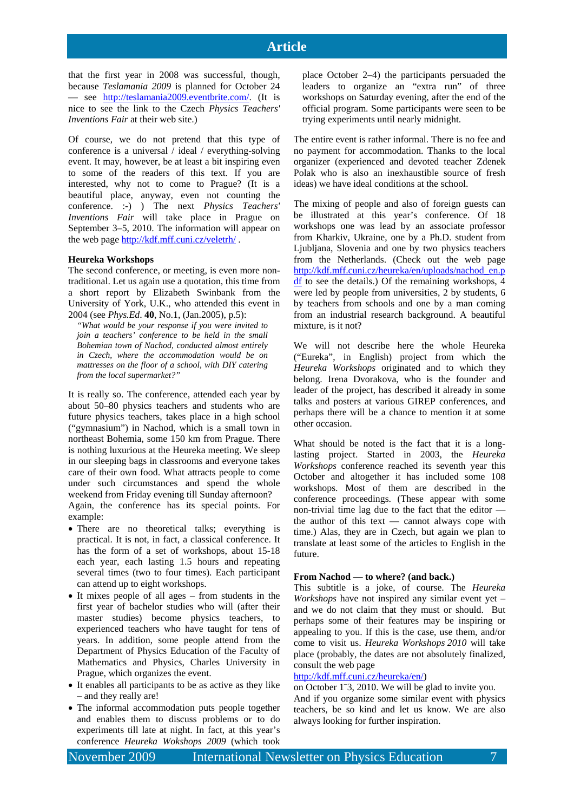that the first year in 2008 was successful, though, because *Teslamania 2009* is planned for October 24 — see http://teslamania2009.eventbrite.com/. (It is nice to see the link to the Czech *Physics Teachers' Inventions Fair* at their web site.)

Of course, we do not pretend that this type of conference is a universal / ideal / everything-solving event. It may, however, be at least a bit inspiring even to some of the readers of this text. If you are interested, why not to come to Prague? (It is a beautiful place, anyway, even not counting the conference. :-) ) The next *Physics Teachers' Inventions Fair* will take place in Prague on September 3–5, 2010. The information will appear on the web page http://kdf.mff.cuni.cz/veletrh/ .

#### **Heureka Workshops**

The second conference, or meeting, is even more nontraditional. Let us again use a quotation, this time from a short report by Elizabeth Swinbank from the University of York, U.K., who attended this event in 2004 (see *Phys.Ed*. **40**, No.1, (Jan.2005), p.5):

*"What would be your response if you were invited to join a teachers' conference to be held in the small Bohemian town of Nachod, conducted almost entirely in Czech, where the accommodation would be on mattresses on the floor of a school, with DIY catering from the local supermarket?"* 

It is really so. The conference, attended each year by about 50–80 physics teachers and students who are future physics teachers, takes place in a high school ("gymnasium") in Nachod, which is a small town in northeast Bohemia, some 150 km from Prague. There is nothing luxurious at the Heureka meeting. We sleep in our sleeping bags in classrooms and everyone takes care of their own food. What attracts people to come under such circumstances and spend the whole weekend from Friday evening till Sunday afternoon? Again, the conference has its special points. For

example:

- There are no theoretical talks; everything is practical. It is not, in fact, a classical conference. It has the form of a set of workshops, about 15-18 each year, each lasting 1.5 hours and repeating several times (two to four times). Each participant can attend up to eight workshops.
- It mixes people of all ages from students in the first year of bachelor studies who will (after their master studies) become physics teachers, to experienced teachers who have taught for tens of years. In addition, some people attend from the Department of Physics Education of the Faculty of Mathematics and Physics, Charles University in Prague, which organizes the event.
- It enables all participants to be as active as they like – and they really are!
- The informal accommodation puts people together and enables them to discuss problems or to do experiments till late at night. In fact, at this year's conference *Heureka Wokshops 2009* (which took

place October 2–4) the participants persuaded the leaders to organize an "extra run" of three workshops on Saturday evening, after the end of the official program. Some participants were seen to be trying experiments until nearly midnight.

The entire event is rather informal. There is no fee and no payment for accommodation. Thanks to the local organizer (experienced and devoted teacher Zdenek Polak who is also an inexhaustible source of fresh ideas) we have ideal conditions at the school.

The mixing of people and also of foreign guests can be illustrated at this year's conference. Of 18 workshops one was lead by an associate professor from Kharkiv, Ukraine, one by a Ph.D. student from Ljubljana, Slovenia and one by two physics teachers from the Netherlands. (Check out the web page http://kdf.mff.cuni.cz/heureka/en/uploads/nachod\_en.p df to see the details.) Of the remaining workshops, 4 were led by people from universities, 2 by students, 6 by teachers from schools and one by a man coming from an industrial research background. A beautiful mixture, is it not?

We will not describe here the whole Heureka ("Eureka", in English) project from which the *Heureka Workshops* originated and to which they belong. Irena Dvorakova, who is the founder and leader of the project, has described it already in some talks and posters at various GIREP conferences, and perhaps there will be a chance to mention it at some other occasion.

What should be noted is the fact that it is a longlasting project. Started in 2003, the *Heureka Workshops* conference reached its seventh year this October and altogether it has included some 108 workshops. Most of them are described in the conference proceedings. (These appear with some non-trivial time lag due to the fact that the editor the author of this text — cannot always cope with time.) Alas, they are in Czech, but again we plan to translate at least some of the articles to English in the future.

#### **From Nachod — to where? (and back.)**

This subtitle is a joke, of course. The *Heureka Workshops* have not inspired any similar event yet – and we do not claim that they must or should. But perhaps some of their features may be inspiring or appealing to you. If this is the case, use them, and/or come to visit us. *Heureka Workshops 2010* will take place (probably, the dates are not absolutely finalized, consult the web page

#### http://kdf.mff.cuni.cz/heureka/en/)

on October 1– 3, 2010. We will be glad to invite you. And if you organize some similar event with physics

teachers, be so kind and let us know. We are also always looking for further inspiration.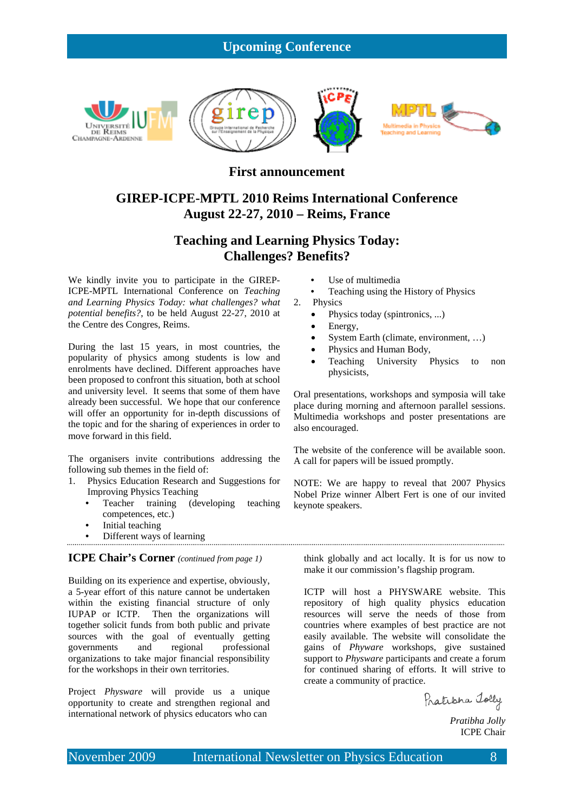## **Upcoming Conference**



### **First announcement**

# **GIREP-ICPE-MPTL 2010 Reims International Conference August 22-27, 2010 – Reims, France**

## **Teaching and Learning Physics Today: Challenges? Benefits?**

We kindly invite you to participate in the GIREP-ICPE-MPTL International Conference on *Teaching and Learning Physics Today: what challenges? what potential benefits?*, to be held August 22-27, 2010 at the Centre des Congres, Reims.

During the last 15 years, in most countries, the popularity of physics among students is low and enrolments have declined. Different approaches have been proposed to confront this situation, both at school and university level. It seems that some of them have already been successful. We hope that our conference will offer an opportunity for in-depth discussions of the topic and for the sharing of experiences in order to move forward in this field.

The organisers invite contributions addressing the following sub themes in the field of:

- 1. Physics Education Research and Suggestions for Improving Physics Teaching
	- Teacher training (developing teaching competences, etc.)
	- Initial teaching
	- Different ways of learning

#### **ICPE Chair's Corner** *(continued from page 1)*

Building on its experience and expertise, obviously, a 5-year effort of this nature cannot be undertaken within the existing financial structure of only IUPAP or ICTP. Then the organizations will together solicit funds from both public and private sources with the goal of eventually getting governments and regional professional organizations to take major financial responsibility for the workshops in their own territories.

Project *Physware* will provide us a unique opportunity to create and strengthen regional and international network of physics educators who can

- Use of multimedia
- Teaching using the History of Physics

2. Physics

- Physics today (spintronics, ...)
- Energy,
- System Earth (climate, environment, …)
- Physics and Human Body,
- Teaching University Physics to non physicists,

Oral presentations, workshops and symposia will take place during morning and afternoon parallel sessions. Multimedia workshops and poster presentations are also encouraged.

The website of the conference will be available soon. A call for papers will be issued promptly.

NOTE: We are happy to reveal that 2007 Physics Nobel Prize winner Albert Fert is one of our invited keynote speakers.

think globally and act locally. It is for us now to make it our commission's flagship program.

ICTP will host a PHYSWARE website. This repository of high quality physics education resources will serve the needs of those from countries where examples of best practice are not easily available. The website will consolidate the gains of *Phyware* workshops, give sustained support to *Physware* participants and create a forum for continued sharing of efforts. It will strive to create a community of practice.

Pratisha Tolly

 *Pratibha Jolly*  ICPE Chair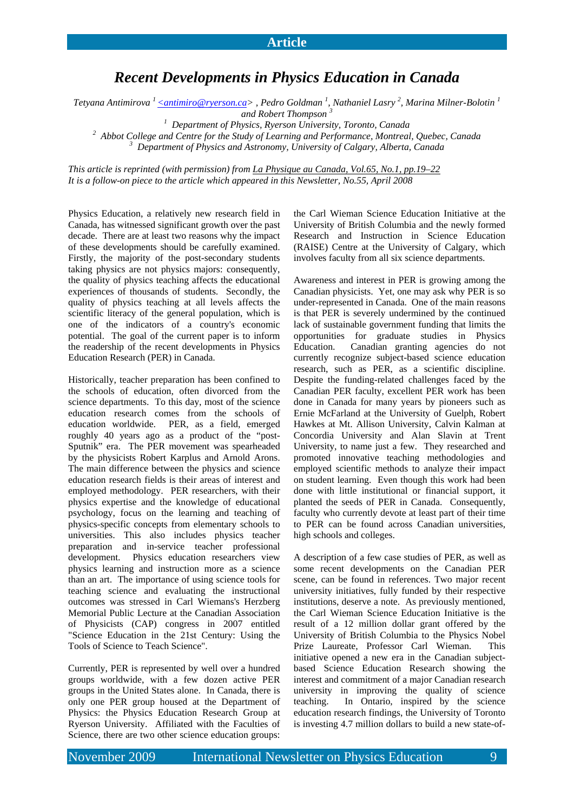# *Recent Developments in Physics Education in Canada*

 $T$ etyana Antimirova  $^1$  <u>< antimiro@ryerson.ca</u>> , Pedro Goldman  $^1$ , Nathaniel Lasry  $^2$ , Marina Milner-Bolotin  $^1$ *and Robert Thompson <sup>3</sup>*

<sup>1</sup> Department of Physics, Ryerson University, Toronto, Canada<br><sup>2</sup> Abbat Collage and Centre for the Study of Learning and Performance, Montreal

<sup>2</sup> Abbot College and Centre for the Study of Learning and Performance, Montreal, Quebec, Canada  *Department of Physics and Astronomy, University of Calgary, Alberta, Canada* 

*This article is reprinted (with permission) from La Physique au Canada, Vol.65, No.1, pp.19–22 It is a follow-on piece to the article which appeared in this Newsletter, No.55, April 2008* 

Physics Education, a relatively new research field in Canada, has witnessed significant growth over the past decade. There are at least two reasons why the impact of these developments should be carefully examined. Firstly, the majority of the post-secondary students taking physics are not physics majors: consequently, the quality of physics teaching affects the educational experiences of thousands of students. Secondly, the quality of physics teaching at all levels affects the scientific literacy of the general population, which is one of the indicators of a country's economic potential. The goal of the current paper is to inform the readership of the recent developments in Physics Education Research (PER) in Canada.

Historically, teacher preparation has been confined to the schools of education, often divorced from the science departments. To this day, most of the science education research comes from the schools of education worldwide. PER, as a field, emerged roughly 40 years ago as a product of the "post-Sputnik" era. The PER movement was spearheaded by the physicists Robert Karplus and Arnold Arons. The main difference between the physics and science education research fields is their areas of interest and employed methodology. PER researchers, with their physics expertise and the knowledge of educational psychology, focus on the learning and teaching of physics-specific concepts from elementary schools to universities. This also includes physics teacher preparation and in-service teacher professional development. Physics education researchers view physics learning and instruction more as a science than an art. The importance of using science tools for teaching science and evaluating the instructional outcomes was stressed in Carl Wiemans's Herzberg Memorial Public Lecture at the Canadian Association of Physicists (CAP) congress in 2007 entitled "Science Education in the 21st Century: Using the Tools of Science to Teach Science".

Currently, PER is represented by well over a hundred groups worldwide, with a few dozen active PER groups in the United States alone. In Canada, there is only one PER group housed at the Department of Physics: the Physics Education Research Group at Ryerson University. Affiliated with the Faculties of Science, there are two other science education groups:

the Carl Wieman Science Education Initiative at the University of British Columbia and the newly formed Research and Instruction in Science Education (RAISE) Centre at the University of Calgary, which involves faculty from all six science departments.

Awareness and interest in PER is growing among the Canadian physicists. Yet, one may ask why PER is so under-represented in Canada. One of the main reasons is that PER is severely undermined by the continued lack of sustainable government funding that limits the opportunities for graduate studies in Physics Education. Canadian granting agencies do not currently recognize subject-based science education research, such as PER, as a scientific discipline. Despite the funding-related challenges faced by the Canadian PER faculty, excellent PER work has been done in Canada for many years by pioneers such as Ernie McFarland at the University of Guelph, Robert Hawkes at Mt. Allison University, Calvin Kalman at Concordia University and Alan Slavin at Trent University, to name just a few. They researched and promoted innovative teaching methodologies and employed scientific methods to analyze their impact on student learning. Even though this work had been done with little institutional or financial support, it planted the seeds of PER in Canada. Consequently, faculty who currently devote at least part of their time to PER can be found across Canadian universities, high schools and colleges.

A description of a few case studies of PER, as well as some recent developments on the Canadian PER scene, can be found in references. Two major recent university initiatives, fully funded by their respective institutions, deserve a note. As previously mentioned, the Carl Wieman Science Education Initiative is the result of a 12 million dollar grant offered by the University of British Columbia to the Physics Nobel Prize Laureate, Professor Carl Wieman. This initiative opened a new era in the Canadian subjectbased Science Education Research showing the interest and commitment of a major Canadian research university in improving the quality of science teaching. In Ontario, inspired by the science education research findings, the University of Toronto is investing 4.7 million dollars to build a new state-of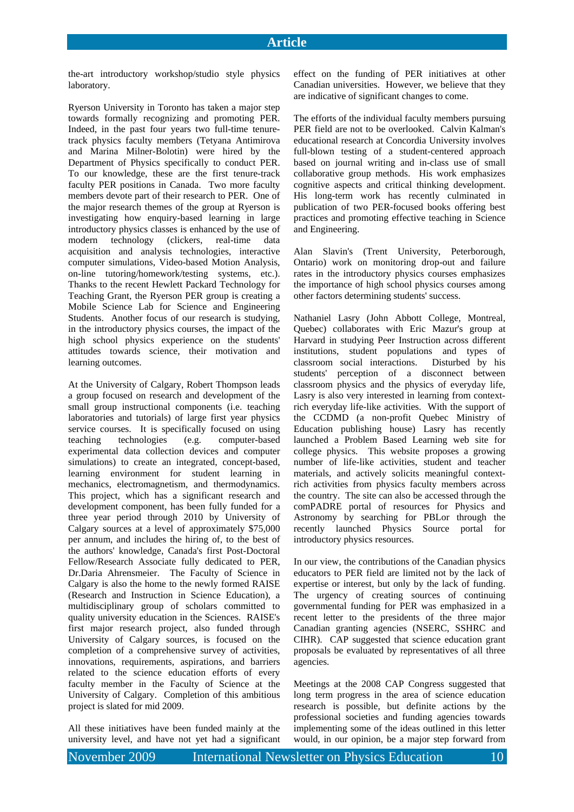the-art introductory workshop/studio style physics laboratory.

Ryerson University in Toronto has taken a major step towards formally recognizing and promoting PER. Indeed, in the past four years two full-time tenuretrack physics faculty members (Tetyana Antimirova and Marina Milner-Bolotin) were hired by the Department of Physics specifically to conduct PER. To our knowledge, these are the first tenure-track faculty PER positions in Canada. Two more faculty members devote part of their research to PER. One of the major research themes of the group at Ryerson is investigating how enquiry-based learning in large introductory physics classes is enhanced by the use of modern technology (clickers, real-time data acquisition and analysis technologies, interactive computer simulations, Video-based Motion Analysis, on-line tutoring/homework/testing systems, etc.). Thanks to the recent Hewlett Packard Technology for Teaching Grant, the Ryerson PER group is creating a Mobile Science Lab for Science and Engineering Students. Another focus of our research is studying, in the introductory physics courses, the impact of the high school physics experience on the students' attitudes towards science, their motivation and learning outcomes.

At the University of Calgary, Robert Thompson leads a group focused on research and development of the small group instructional components (i.e. teaching laboratories and tutorials) of large first year physics service courses. It is specifically focused on using teaching technologies (e.g. computer-based experimental data collection devices and computer simulations) to create an integrated, concept-based, learning environment for student learning in mechanics, electromagnetism, and thermodynamics. This project, which has a significant research and development component, has been fully funded for a three year period through 2010 by University of Calgary sources at a level of approximately \$75,000 per annum, and includes the hiring of, to the best of the authors' knowledge, Canada's first Post-Doctoral Fellow/Research Associate fully dedicated to PER, Dr.Daria Ahrensmeier. The Faculty of Science in Calgary is also the home to the newly formed RAISE (Research and Instruction in Science Education), a multidisciplinary group of scholars committed to quality university education in the Sciences. RAISE's first major research project, also funded through University of Calgary sources, is focused on the completion of a comprehensive survey of activities, innovations, requirements, aspirations, and barriers related to the science education efforts of every faculty member in the Faculty of Science at the University of Calgary. Completion of this ambitious project is slated for mid 2009.

All these initiatives have been funded mainly at the university level, and have not yet had a significant effect on the funding of PER initiatives at other Canadian universities. However, we believe that they are indicative of significant changes to come.

The efforts of the individual faculty members pursuing PER field are not to be overlooked. Calvin Kalman's educational research at Concordia University involves full-blown testing of a student-centered approach based on journal writing and in-class use of small collaborative group methods. His work emphasizes cognitive aspects and critical thinking development. His long-term work has recently culminated in publication of two PER-focused books offering best practices and promoting effective teaching in Science and Engineering.

Alan Slavin's (Trent University, Peterborough, Ontario) work on monitoring drop-out and failure rates in the introductory physics courses emphasizes the importance of high school physics courses among other factors determining students' success.

Nathaniel Lasry (John Abbott College, Montreal, Quebec) collaborates with Eric Mazur's group at Harvard in studying Peer Instruction across different institutions, student populations and types of classroom social interactions. Disturbed by his students' perception of a disconnect between classroom physics and the physics of everyday life, Lasry is also very interested in learning from contextrich everyday life-like activities. With the support of the CCDMD (a non-profit Quebec Ministry of Education publishing house) Lasry has recently launched a Problem Based Learning web site for college physics. This website proposes a growing number of life-like activities, student and teacher materials, and actively solicits meaningful contextrich activities from physics faculty members across the country. The site can also be accessed through the comPADRE portal of resources for Physics and Astronomy by searching for PBLor through the recently launched Physics Source portal for introductory physics resources.

In our view, the contributions of the Canadian physics educators to PER field are limited not by the lack of expertise or interest, but only by the lack of funding. The urgency of creating sources of continuing governmental funding for PER was emphasized in a recent letter to the presidents of the three major Canadian granting agencies (NSERC, SSHRC and CIHR). CAP suggested that science education grant proposals be evaluated by representatives of all three agencies.

Meetings at the 2008 CAP Congress suggested that long term progress in the area of science education research is possible, but definite actions by the professional societies and funding agencies towards implementing some of the ideas outlined in this letter would, in our opinion, be a major step forward from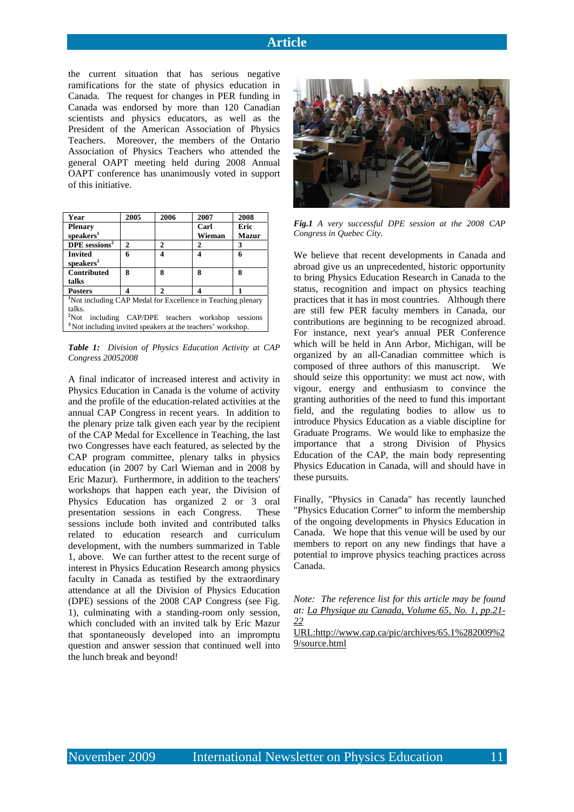the current situation that has serious negative ramifications for the state of physics education in Canada. The request for changes in PER funding in Canada was endorsed by more than 120 Canadian scientists and physics educators, as well as the President of the American Association of Physics Teachers. Moreover, the members of the Ontario Association of Physics Teachers who attended the general OAPT meeting held during 2008 Annual OAPT conference has unanimously voted in support of this initiative.

| Year                                                                    | 2005 | 2006                   | 2007   | 2008         |  |  |  |
|-------------------------------------------------------------------------|------|------------------------|--------|--------------|--|--|--|
| <b>Plenary</b>                                                          |      |                        | Carl   | Eric         |  |  |  |
| speakers <sup>1</sup>                                                   |      |                        | Wieman | <b>Mazur</b> |  |  |  |
| $DPE$ sessions <sup>2</sup>                                             | 2    | 2                      | 2      | 3            |  |  |  |
| <b>Invited</b>                                                          | 6    |                        | Δ      | 6            |  |  |  |
| speakers <sup>3</sup>                                                   |      |                        |        |              |  |  |  |
| Contributed                                                             | ន    | 8                      | 8      | 8            |  |  |  |
| talks                                                                   |      |                        |        |              |  |  |  |
| <b>Posters</b>                                                          | Δ    | $\mathcal{D}_{\alpha}$ |        |              |  |  |  |
| <sup>1</sup> Not including CAP Medal for Excellence in Teaching plenary |      |                        |        |              |  |  |  |
| talks.                                                                  |      |                        |        |              |  |  |  |
| <sup>2</sup> Not including CAP/DPE teachers workshop sessions           |      |                        |        |              |  |  |  |
| <sup>3</sup> Not including invited speakers at the teachers' workshop.  |      |                        |        |              |  |  |  |

*Table 1: Division of Physics Education Activity at CAP Congress 20052008* 

A final indicator of increased interest and activity in Physics Education in Canada is the volume of activity and the profile of the education-related activities at the annual CAP Congress in recent years. In addition to the plenary prize talk given each year by the recipient of the CAP Medal for Excellence in Teaching, the last two Congresses have each featured, as selected by the CAP program committee, plenary talks in physics education (in 2007 by Carl Wieman and in 2008 by Eric Mazur). Furthermore, in addition to the teachers' workshops that happen each year, the Division of Physics Education has organized 2 or 3 oral presentation sessions in each Congress. These sessions include both invited and contributed talks related to education research and curriculum development, with the numbers summarized in Table 1, above. We can further attest to the recent surge of interest in Physics Education Research among physics faculty in Canada as testified by the extraordinary attendance at all the Division of Physics Education (DPE) sessions of the 2008 CAP Congress (see Fig. 1), culminating with a standing-room only session, which concluded with an invited talk by Eric Mazur that spontaneously developed into an impromptu question and answer session that continued well into the lunch break and beyond!



*Fig.1 A very successful DPE session at the 2008 CAP Congress in Quebec City.* 

We believe that recent developments in Canada and abroad give us an unprecedented, historic opportunity to bring Physics Education Research in Canada to the status, recognition and impact on physics teaching practices that it has in most countries. Although there are still few PER faculty members in Canada, our contributions are beginning to be recognized abroad. For instance, next year's annual PER Conference which will be held in Ann Arbor, Michigan, will be organized by an all-Canadian committee which is composed of three authors of this manuscript. We should seize this opportunity: we must act now, with vigour, energy and enthusiasm to convince the granting authorities of the need to fund this important field, and the regulating bodies to allow us to introduce Physics Education as a viable discipline for Graduate Programs. We would like to emphasize the importance that a strong Division of Physics Education of the CAP, the main body representing Physics Education in Canada, will and should have in these pursuits.

Finally, "Physics in Canada" has recently launched "Physics Education Corner" to inform the membership of the ongoing developments in Physics Education in Canada. We hope that this venue will be used by our members to report on any new findings that have a potential to improve physics teaching practices across Canada.

*Note: The reference list for this article may be found at: La Physique au Canada, Volume 65, No. 1, pp.21- 22*

URL:http://www.cap.ca/pic/archives/65.1%282009%2 9/source.html